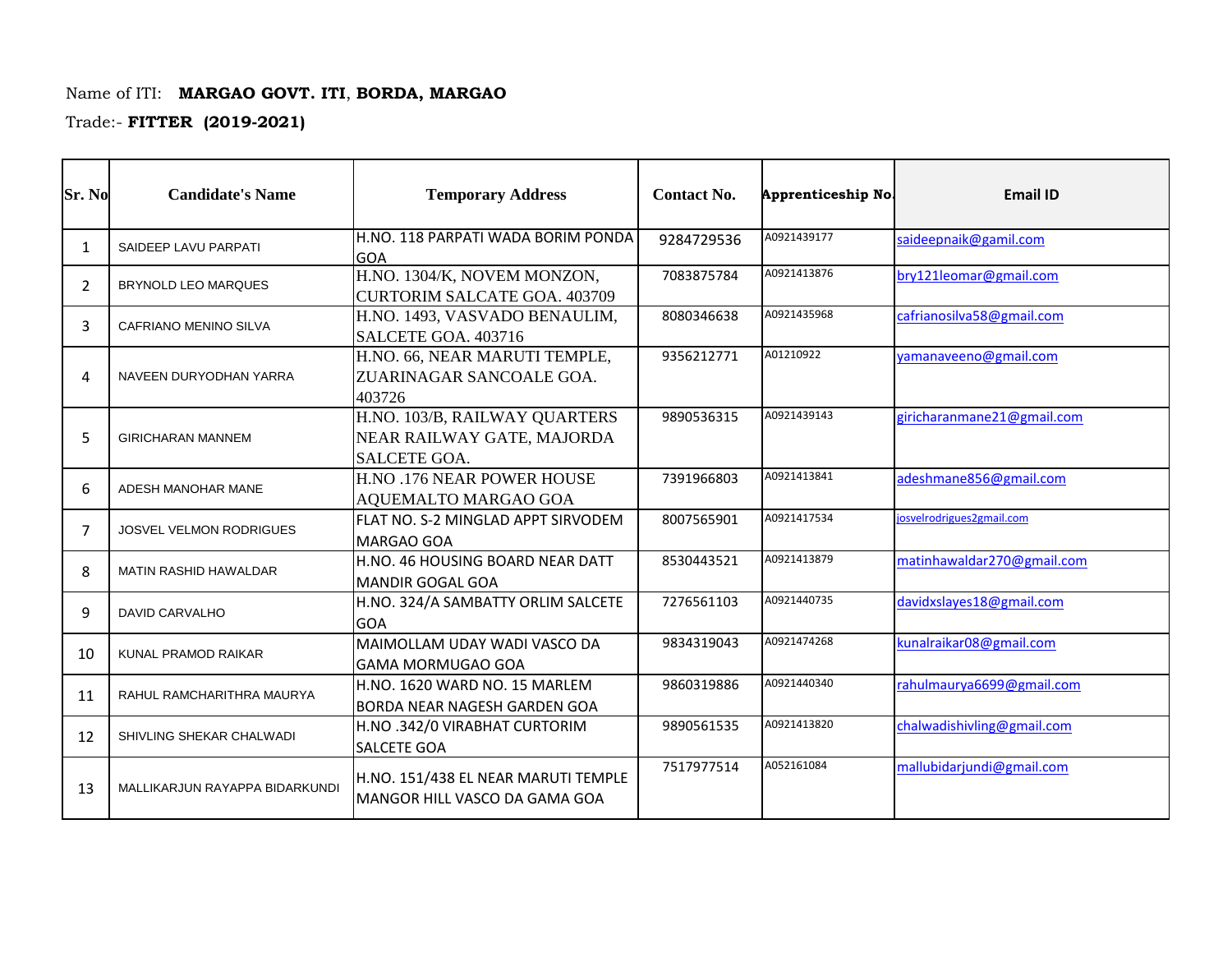## Name of ITI: **MARGAO GOVT. ITI**, **BORDA, MARGAO**

Trade:- **FITTER (2019-2021)**

| Sr. No                 | <b>Candidate's Name</b>        | <b>Temporary Address</b>                                                    | <b>Contact No.</b> | Apprenticeship No | <b>Email ID</b>            |
|------------------------|--------------------------------|-----------------------------------------------------------------------------|--------------------|-------------------|----------------------------|
| $\mathbf{1}$           | SAIDEEP LAVU PARPATI           | H.NO. 118 PARPATI WADA BORIM PONDA<br>GOA                                   | 9284729536         | A0921439177       | saideepnaik@gamil.com      |
| 2                      | <b>BRYNOLD LEO MARQUES</b>     | H.NO. 1304/K, NOVEM MONZON,<br><b>CURTORIM SALCATE GOA. 403709</b>          | 7083875784         | A0921413876       | bry121leomar@gmail.com     |
| 3                      | CAFRIANO MENINO SILVA          | H.NO. 1493, VASVADO BENAULIM,<br>SALCETE GOA. 403716                        | 8080346638         | A0921435968       | cafrianosilva58@gmail.com  |
| $\boldsymbol{\Lambda}$ | NAVEEN DURYODHAN YARRA         | H.NO. 66, NEAR MARUTI TEMPLE,<br>ZUARINAGAR SANCOALE GOA.<br>403726         | 9356212771         | A01210922         | yamanaveeno@gmail.com      |
| 5                      | <b>GIRICHARAN MANNEM</b>       | H.NO. 103/B, RAILWAY QUARTERS<br>NEAR RAILWAY GATE, MAJORDA<br>SALCETE GOA. | 9890536315         | A0921439143       | giricharanmane21@gmail.com |
| 6                      | ADESH MANOHAR MANE             | H.NO .176 NEAR POWER HOUSE<br>AQUEMALTO MARGAO GOA                          | 7391966803         | A0921413841       | adeshmane856@gmail.com     |
| $\overline{7}$         | <b>JOSVEL VELMON RODRIGUES</b> | FLAT NO. S-2 MINGLAD APPT SIRVODEM<br><b>MARGAO GOA</b>                     | 8007565901         | A0921417534       | josvelrodrigues2gmail.com  |
| 8                      | <b>MATIN RASHID HAWALDAR</b>   | H.NO. 46 HOUSING BOARD NEAR DATT<br><b>MANDIR GOGAL GOA</b>                 | 8530443521         | A0921413879       | matinhawaldar270@gmail.com |
| q                      | <b>DAVID CARVALHO</b>          | H.NO. 324/A SAMBATTY ORLIM SALCETE<br><b>GOA</b>                            | 7276561103         | A0921440735       | davidxslayes18@gmail.com   |
| 10                     | KUNAL PRAMOD RAIKAR            | MAIMOLLAM UDAY WADI VASCO DA<br><b>GAMA MORMUGAO GOA</b>                    | 9834319043         | A0921474268       | kunalraikar08@gmail.com    |
| 11                     | RAHUL RAMCHARITHRA MAURYA      | H.NO. 1620 WARD NO. 15 MARLEM<br><b>BORDA NEAR NAGESH GARDEN GOA</b>        | 9860319886         | A0921440340       | rahulmaurya6699@gmail.com  |
| 12                     | SHIVLING SHEKAR CHALWADI       | H.NO .342/0 VIRABHAT CURTORIM<br><b>SALCETE GOA</b>                         | 9890561535         | A0921413820       | chalwadishivling@gmail.com |
| 13                     | MALLIKARJUN RAYAPPA BIDARKUNDI | H.NO. 151/438 EL NEAR MARUTI TEMPLE<br>MANGOR HILL VASCO DA GAMA GOA        | 7517977514         | A052161084        | mallubidarjundi@gmail.com  |